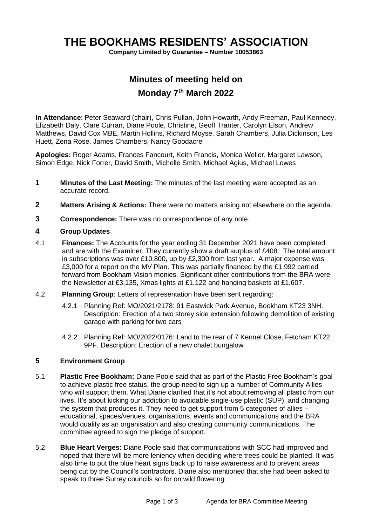# **THE BOOKHAMS RESIDENTS' ASSOCIATION**

**Company Limited by Guarantee – Number 10053863**

## **Minutes of meeting held on Monday 7th March 2022**

**In Attendance**: Peter Seaward (chair), Chris Pullan, John Howarth, Andy Freeman, Paul Kennedy, Elizabeth Daly, Clare Curran, Diane Poole, Christine, Geoff Tranter, Carolyn Elson, Andrew Matthews, David Cox MBE, Martin Hollins, Richard Moyse, Sarah Chambers, Julia Dickinson, Les Huett, Zena Rose, James Chambers, Nancy Goodacre

**Apologies:** Roger Adams, Frances Fancourt, Keith Francis, Monica Weller, Margaret Lawson, Simon Edge, Nick Forrer, David Smith, Michelle Smith, Michael Agius, Michael Lowes

- **1 Minutes of the Last Meeting:** The minutes of the last meeting were accepted as an accurate record.
- **2 Matters Arising & Actions:** There were no matters arising not elsewhere on the agenda.
- **3 Correspondence:** There was no correspondence of any note.

#### **4 Group Updates**

- 4.1 **Finances:** The Accounts for the year ending 31 December 2021 have been completed and are with the Examiner. They currently show a draft surplus of £408. The total amount in subscriptions was over £10,800, up by £2,300 from last year. A major expense was £3,000 for a report on the MV Plan. This was partially financed by the £1,992 carried forward from Bookham Vision monies. Significant other contributions from the BRA were the Newsletter at £3,135, Xmas lights at £1,122 and hanging baskets at £1,607.
- 4.2 **Planning Group**: Letters of representation have been sent regarding:
	- 4.2.1 Planning Ref: MO/2021/2178: 91 Eastwick Park Avenue, Bookham KT23 3NH. Description: Erection of a two storey side extension following demolition of existing garage with parking for two cars
	- 4.2.2 Planning Ref: MO/2022/0176: Land to the rear of 7 Kennel Close, Fetcham KT22 9PF. Description: Erection of a new chalet bungalow

### **5 Environment Group**

- 5.1 **Plastic Free Bookham:** Diane Poole said that as part of the Plastic Free Bookham's goal to achieve plastic free status, the group need to sign up a number of Community Allies who will support them. What Diane clarified that it's not about removing all plastic from our lives. It's about kicking our addiction to avoidable single-use plastic (SUP), and changing the system that produces it. They need to get support from 5 categories of allies – educational, spaces/venues, organisations, events and communications and the BRA would qualify as an organisation and also creating community communications. The committee agreed to sign the pledge of support.
- 5.2 **Blue Heart Verges:** Diane Poole said that communications with SCC had improved and hoped that there will be more leniency when deciding where trees could be planted. It was also time to put the blue heart signs back up to raise awareness and to prevent areas being cut by the Council's contractors. Diane also mentioned that she had been asked to speak to three Surrey councils so for on wild flowering.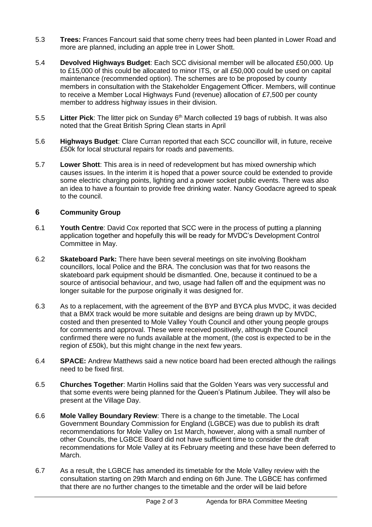- 5.3 **Trees:** Frances Fancourt said that some cherry trees had been planted in Lower Road and more are planned, including an apple tree in Lower Shott.
- 5.4 **Devolved Highways Budget**: Each SCC divisional member will be allocated £50,000. Up to £15,000 of this could be allocated to minor ITS, or all £50,000 could be used on capital maintenance (recommended option). The schemes are to be proposed by county members in consultation with the Stakeholder Engagement Officer. Members, will continue to receive a Member Local Highways Fund (revenue) allocation of £7,500 per county member to address highway issues in their division.
- 5.5 **Litter Pick**: The litter pick on Sunday 6th March collected 19 bags of rubbish. It was also noted that the Great British Spring Clean starts in April
- 5.6 **Highways Budget**: Clare Curran reported that each SCC councillor will, in future, receive £50k for local structural repairs for roads and pavements.
- 5.7 **Lower Shott**: This area is in need of redevelopment but has mixed ownership which causes issues. In the interim it is hoped that a power source could be extended to provide some electric charging points, lighting and a power socket public events. There was also an idea to have a fountain to provide free drinking water. Nancy Goodacre agreed to speak to the council.

### **6 Community Group**

- 6.1 **Youth Centre**: David Cox reported that SCC were in the process of putting a planning application together and hopefully this will be ready for MVDC's Development Control Committee in May.
- 6.2 **Skateboard Park:** There have been several meetings on site involving Bookham councillors, local Police and the BRA. The conclusion was that for two reasons the skateboard park equipment should be dismantled. One, because it continued to be a source of antisocial behaviour, and two, usage had fallen off and the equipment was no longer suitable for the purpose originally it was designed for.
- 6.3 As to a replacement, with the agreement of the BYP and BYCA plus MVDC, it was decided that a BMX track would be more suitable and designs are being drawn up by MVDC, costed and then presented to Mole Valley Youth Council and other young people groups for comments and approval. These were received positively, although the Council confirmed there were no funds available at the moment, (the cost is expected to be in the region of £50k), but this might change in the next few years.
- 6.4 **SPACE:** Andrew Matthews said a new notice board had been erected although the railings need to be fixed first.
- 6.5 **Churches Together**: Martin Hollins said that the Golden Years was very successful and that some events were being planned for the Queen's Platinum Jubilee. They will also be present at the Village Day.
- 6.6 **Mole Valley Boundary Review**: There is a change to the timetable. The Local Government Boundary Commission for England (LGBCE) was due to publish its draft recommendations for Mole Valley on 1st March, however, along with a small number of other Councils, the LGBCE Board did not have sufficient time to consider the draft recommendations for Mole Valley at its February meeting and these have been deferred to March.
- 6.7 As a result, the LGBCE has amended its timetable for the Mole Valley review with the consultation starting on 29th March and ending on 6th June. The LGBCE has confirmed that there are no further changes to the timetable and the order will be laid before